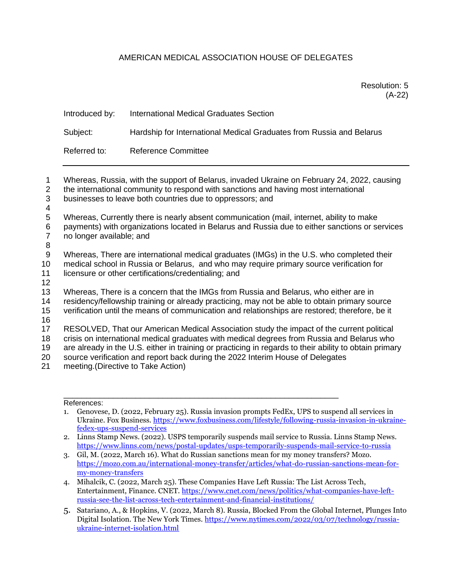## AMERICAN MEDICAL ASSOCIATION HOUSE OF DELEGATES

| Introduced by: | International Medical Graduates Section                              |
|----------------|----------------------------------------------------------------------|
| Subject:       | Hardship for International Medical Graduates from Russia and Belarus |
| Referred to:   | <b>Reference Committee</b>                                           |

 Whereas, Russia, with the support of Belarus, invaded Ukraine on February 24, 2022, causing the international community to respond with sanctions and having most international businesses to leave both countries due to oppressors; and 4 Whereas, Currently there is nearly absent communication (mail, internet, ability to make payments) with organizations located in Belarus and Russia due to either sanctions or services no longer available; and 8 Whereas, There are international medical graduates (IMGs) in the U.S. who completed their medical school in Russia or Belarus, and who may require primary source verification for licensure or other certifications/credentialing; and 12 Whereas, There is a concern that the IMGs from Russia and Belarus, who either are in residency/fellowship training or already practicing, may not be able to obtain primary source verification until the means of communication and relationships are restored; therefore, be it 16 RESOLVED, That our American Medical Association study the impact of the current political crisis on international medical graduates with medical degrees from Russia and Belarus who are already in the U.S. either in training or practicing in regards to their ability to obtain primary source verification and report back during the 2022 Interim House of Delegates meeting.(Directive to Take Action)

References:

- 1. Genovese, D. (2022, February 25). Russia invasion prompts FedEx, UPS to suspend all services in Ukraine. Fox Business. [https://www.foxbusiness.com/lifestyle/following-russia-invasion-in-ukraine](https://www.foxbusiness.com/lifestyle/following-russia-invasion-in-ukraine-fedex-ups-suspend-services)[fedex-ups-suspend-services](https://www.foxbusiness.com/lifestyle/following-russia-invasion-in-ukraine-fedex-ups-suspend-services)
- 2. Linns Stamp News. (2022). USPS temporarily suspends mail service to Russia. Linns Stamp News. <https://www.linns.com/news/postal-updates/usps-temporarily-suspends-mail-service-to-russia>

\_\_\_\_\_\_\_\_\_\_\_\_\_\_\_\_\_\_\_\_\_\_\_\_\_\_\_\_\_\_\_\_\_\_\_\_\_\_\_\_\_\_\_\_\_\_\_\_\_\_\_\_\_\_\_\_\_\_\_\_\_

- 3. Gil, M. (2022, March 16). What do Russian sanctions mean for my money transfers? Mozo. [https://mozo.com.au/international-money-transfer/articles/what-do-russian-sanctions-mean-for](https://mozo.com.au/international-money-transfer/articles/what-do-russian-sanctions-mean-for-my-money-transfers)[my-money-transfers](https://mozo.com.au/international-money-transfer/articles/what-do-russian-sanctions-mean-for-my-money-transfers)
- 4. Mihalcik, C. (2022, March 25). These Companies Have Left Russia: The List Across Tech, Entertainment, Finance. CNET. [https://www.cnet.com/news/politics/what-companies-have-left](https://www.cnet.com/news/politics/what-companies-have-left-russia-see-the-list-across-tech-entertainment-and-financial-institutions/)[russia-see-the-list-across-tech-entertainment-and-financial-institutions/](https://www.cnet.com/news/politics/what-companies-have-left-russia-see-the-list-across-tech-entertainment-and-financial-institutions/)
- 5. Satariano, A., & Hopkins, V. (2022, March 8). Russia, Blocked From the Global Internet, Plunges Into Digital Isolation. The New York Times. [https://www.nytimes.com/2022/03/07/technology/russia](https://www.nytimes.com/2022/03/07/technology/russia-ukraine-internet-isolation.html)[ukraine-internet-isolation.html](https://www.nytimes.com/2022/03/07/technology/russia-ukraine-internet-isolation.html)